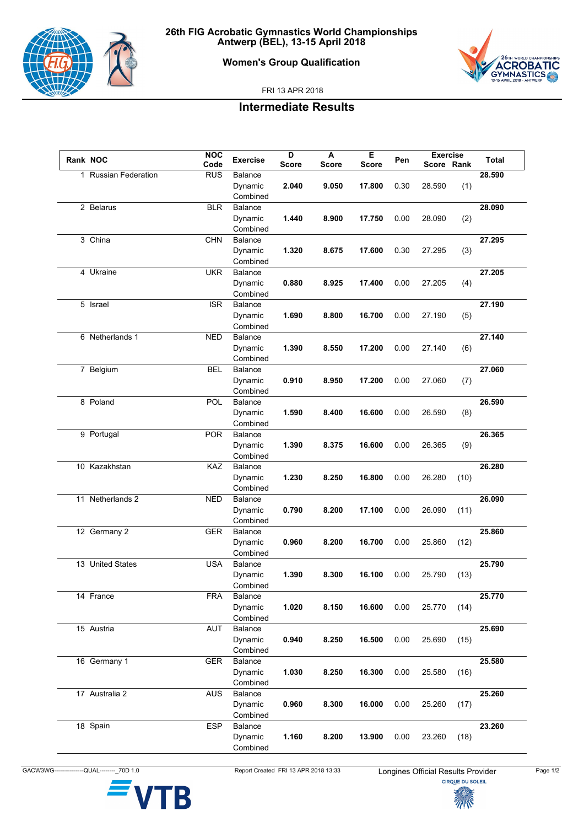

## **Women's Group Qualification**



FRI 13 APR 2018

## **Intermediate Results**

| Rank NOC |                      | <b>NOC</b> | <b>Exercise</b> | D            | A            | Е            | Pen  | <b>Exercise</b> |      | Total  |
|----------|----------------------|------------|-----------------|--------------|--------------|--------------|------|-----------------|------|--------|
|          |                      | Code       |                 | <b>Score</b> | <b>Score</b> | <b>Score</b> |      | Score Rank      |      |        |
|          | 1 Russian Federation | <b>RUS</b> | Balance         |              |              |              |      |                 |      | 28.590 |
|          |                      |            | Dynamic         | 2.040        | 9.050        | 17.800       | 0.30 | 28.590          | (1)  |        |
|          |                      |            | Combined        |              |              |              |      |                 |      |        |
|          | 2 Belarus            | <b>BLR</b> | Balance         |              |              |              |      |                 |      | 28.090 |
|          |                      |            | Dynamic         | 1.440        | 8.900        | 17.750       | 0.00 | 28.090          | (2)  |        |
|          |                      |            | Combined        |              |              |              |      |                 |      |        |
|          | 3 China              | <b>CHN</b> | <b>Balance</b>  |              |              |              |      |                 |      | 27.295 |
|          |                      |            | Dynamic         | 1.320        | 8.675        | 17.600       | 0.30 | 27.295          | (3)  |        |
|          |                      |            | Combined        |              |              |              |      |                 |      |        |
|          | 4 Ukraine            | <b>UKR</b> | <b>Balance</b>  |              |              |              |      |                 |      | 27.205 |
|          |                      |            | Dynamic         | 0.880        | 8.925        | 17.400       | 0.00 | 27.205          | (4)  |        |
|          |                      |            | Combined        |              |              |              |      |                 |      |        |
|          |                      | <b>ISR</b> | Balance         |              |              |              |      |                 |      | 27.190 |
|          | 5 Israel             |            |                 |              |              |              |      |                 |      |        |
|          |                      |            | Dynamic         | 1.690        | 8.800        | 16.700       | 0.00 | 27.190          | (5)  |        |
|          |                      |            | Combined        |              |              |              |      |                 |      |        |
|          | 6 Netherlands 1      | <b>NED</b> | <b>Balance</b>  |              |              |              |      |                 |      | 27.140 |
|          |                      |            | Dynamic         | 1.390        | 8.550        | 17.200       | 0.00 | 27.140          | (6)  |        |
|          |                      |            | Combined        |              |              |              |      |                 |      |        |
|          | 7 Belgium            | <b>BEL</b> | Balance         |              |              |              |      |                 |      | 27.060 |
|          |                      |            | Dynamic         | 0.910        | 8.950        | 17.200       | 0.00 | 27.060          | (7)  |        |
|          |                      |            | Combined        |              |              |              |      |                 |      |        |
|          | 8 Poland             | <b>POL</b> | <b>Balance</b>  |              |              |              |      |                 |      | 26.590 |
|          |                      |            | Dynamic         | 1.590        | 8.400        | 16.600       | 0.00 | 26.590          | (8)  |        |
|          |                      |            | Combined        |              |              |              |      |                 |      |        |
|          | 9 Portugal           | <b>POR</b> | <b>Balance</b>  |              |              |              |      |                 |      | 26.365 |
|          |                      |            | Dynamic         | 1.390        |              | 16.600       | 0.00 | 26.365          |      |        |
|          |                      |            |                 |              | 8.375        |              |      |                 | (9)  |        |
|          |                      |            | Combined        |              |              |              |      |                 |      |        |
|          | 10 Kazakhstan        | KAZ        | <b>Balance</b>  |              |              |              |      |                 |      | 26.280 |
|          |                      |            | Dynamic         | 1.230        | 8.250        | 16.800       | 0.00 | 26.280          | (10) |        |
|          |                      |            | Combined        |              |              |              |      |                 |      |        |
|          | 11 Netherlands 2     | <b>NED</b> | <b>Balance</b>  |              |              |              |      |                 |      | 26.090 |
|          |                      |            | Dynamic         | 0.790        | 8.200        | 17.100       | 0.00 | 26.090          | (11) |        |
|          |                      |            | Combined        |              |              |              |      |                 |      |        |
|          | 12 Germany 2         | <b>GER</b> | <b>Balance</b>  |              |              |              |      |                 |      | 25.860 |
|          |                      |            | Dynamic         | 0.960        | 8.200        | 16.700       | 0.00 | 25.860          | (12) |        |
|          |                      |            | Combined        |              |              |              |      |                 |      |        |
|          | 13 United States     | <b>USA</b> | <b>Balance</b>  |              |              |              |      |                 |      | 25.790 |
|          |                      |            | Dynamic         | 1.390        | 8.300        | 16.100       | 0.00 | 25.790          | (13) |        |
|          |                      |            | Combined        |              |              |              |      |                 |      |        |
|          |                      |            |                 |              |              |              |      |                 |      |        |
|          | 14 France            | <b>FRA</b> | Balance         |              |              |              |      |                 |      | 25.770 |
|          |                      |            | Dynamic         | 1.020        | 8.150        | 16.600       | 0.00 | 25.770          | (14) |        |
|          |                      |            | Combined        |              |              |              |      |                 |      |        |
|          | 15 Austria           | <b>AUT</b> | Balance         |              |              |              |      |                 |      | 25.690 |
|          |                      |            | Dynamic         | 0.940        | 8.250        | 16.500       | 0.00 | 25.690          | (15) |        |
|          |                      |            | Combined        |              |              |              |      |                 |      |        |
|          | 16 Germany 1         | <b>GER</b> | Balance         |              |              |              |      |                 |      | 25.580 |
|          |                      |            | Dynamic         | 1.030        | 8.250        | 16.300       | 0.00 | 25.580          | (16) |        |
|          |                      |            | Combined        |              |              |              |      |                 |      |        |
|          | 17 Australia 2       | <b>AUS</b> | Balance         |              |              |              |      |                 |      | 25.260 |
|          |                      |            | Dynamic         | 0.960        | 8.300        | 16.000       | 0.00 | 25.260          | (17) |        |
|          |                      |            | Combined        |              |              |              |      |                 |      |        |
|          |                      |            |                 |              |              |              |      |                 |      |        |
|          | 18 Spain             | <b>ESP</b> | Balance         |              |              |              |      |                 |      | 23.260 |
|          |                      |            | Dynamic         | 1.160        | 8.200        | 13.900       | 0.00 | 23.260          | (18) |        |
|          |                      |            | Combined        |              |              |              |      |                 |      |        |

GACW3WG--------------QUAL---------<sub>\_</sub>70D 1.0 Report Created FRI 13 APR 2018 13:33 Longines Official Results Provider Page 1/2<br>CIRQUE DU SOLEIL

B